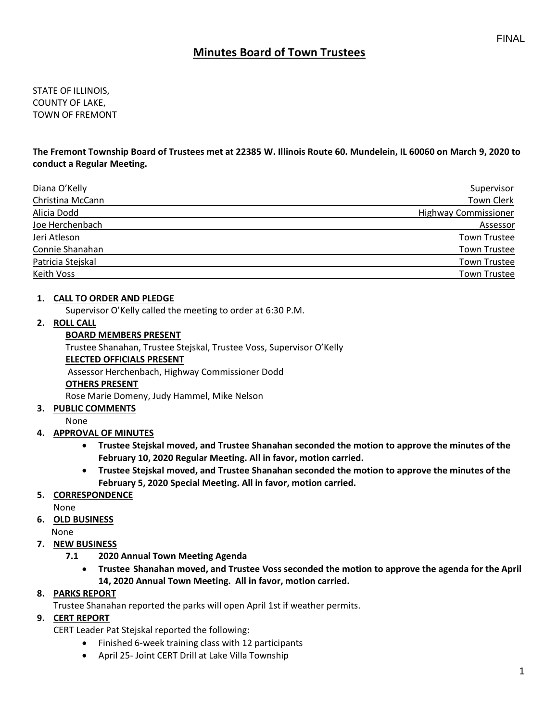# **Minutes Board of Town Trustees**

STATE OF ILLINOIS, COUNTY OF LAKE, TOWN OF FREMONT

**The Fremont Township Board of Trustees met at 22385 W. Illinois Route 60. Mundelein, IL 60060 on March 9, 2020 to conduct a Regular Meeting.**

| Diana O'Kelly     | <b>Supervisor</b>           |
|-------------------|-----------------------------|
| Christina McCann  | <b>Town Clerk</b>           |
| Alicia Dodd       | <b>Highway Commissioner</b> |
| Joe Herchenbach   | Assessor                    |
| Jeri Atleson      | <b>Town Trustee</b>         |
| Connie Shanahan   | Town Trustee                |
| Patricia Stejskal | <b>Town Trustee</b>         |
| Keith Voss        | <b>Town Trustee</b>         |

### **1. CALL TO ORDER AND PLEDGE**

Supervisor O'Kelly called the meeting to order at 6:30 P.M.

### **2. ROLL CALL**

### **BOARD MEMBERS PRESENT**

Trustee Shanahan, Trustee Stejskal, Trustee Voss, Supervisor O'Kelly

#### **ELECTED OFFICIALS PRESENT**

Assessor Herchenbach, Highway Commissioner Dodd

#### **OTHERS PRESENT**

Rose Marie Domeny, Judy Hammel, Mike Nelson

### **3. PUBLIC COMMENTS**

None

### **4. APPROVAL OF MINUTES**

- **Trustee Stejskal moved, and Trustee Shanahan seconded the motion to approve the minutes of the February 10, 2020 Regular Meeting. All in favor, motion carried.**
- **Trustee Stejskal moved, and Trustee Shanahan seconded the motion to approve the minutes of the February 5, 2020 Special Meeting. All in favor, motion carried.**

### **5. CORRESPONDENCE**

None

**6. OLD BUSINESS**

None

- **7. NEW BUSINESS**
	- **7.1 2020 Annual Town Meeting Agenda**
		- **Trustee Shanahan moved, and Trustee Voss seconded the motion to approve the agenda for the April 14, 2020 Annual Town Meeting. All in favor, motion carried.**

### **8. PARKS REPORT**

Trustee Shanahan reported the parks will open April 1st if weather permits.

### **9. CERT REPORT**

CERT Leader Pat Stejskal reported the following:

- Finished 6-week training class with 12 participants
- April 25- Joint CERT Drill at Lake Villa Township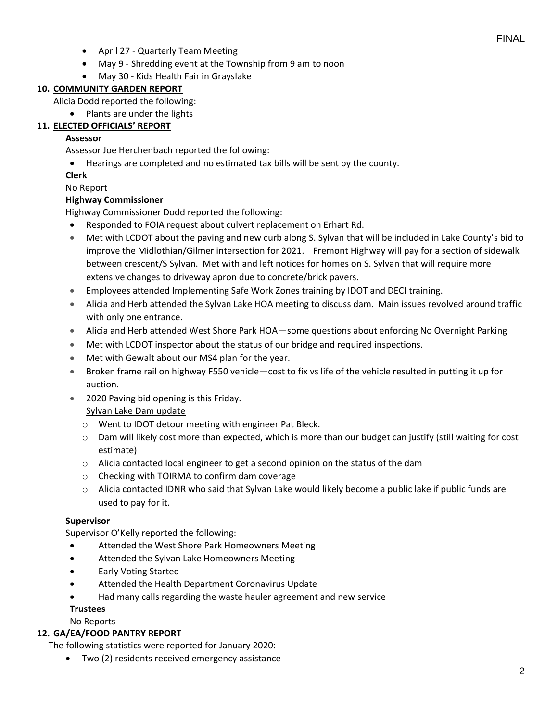- April 27 Quarterly Team Meeting
- May 9 Shredding event at the Township from 9 am to noon
- May 30 Kids Health Fair in Grayslake

# **10. COMMUNITY GARDEN REPORT**

Alicia Dodd reported the following:

• Plants are under the lights

# **11. ELECTED OFFICIALS' REPORT**

## **Assessor**

Assessor Joe Herchenbach reported the following:

• Hearings are completed and no estimated tax bills will be sent by the county.

## **Clerk**

No Report

# **Highway Commissioner**

Highway Commissioner Dodd reported the following:

- Responded to FOIA request about culvert replacement on Erhart Rd.
- Met with LCDOT about the paving and new curb along S. Sylvan that will be included in Lake County's bid to improve the Midlothian/Gilmer intersection for 2021. Fremont Highway will pay for a section of sidewalk between crescent/S Sylvan. Met with and left notices for homes on S. Sylvan that will require more extensive changes to driveway apron due to concrete/brick pavers.
- Employees attended Implementing Safe Work Zones training by IDOT and DECI training.
- Alicia and Herb attended the Sylvan Lake HOA meeting to discuss dam. Main issues revolved around traffic with only one entrance.
- Alicia and Herb attended West Shore Park HOA—some questions about enforcing No Overnight Parking
- Met with LCDOT inspector about the status of our bridge and required inspections.
- Met with Gewalt about our MS4 plan for the year.
- Broken frame rail on highway F550 vehicle—cost to fix vs life of the vehicle resulted in putting it up for auction.
- 2020 Paving bid opening is this Friday.

# Sylvan Lake Dam update

- o Went to IDOT detour meeting with engineer Pat Bleck.
- $\circ$  Dam will likely cost more than expected, which is more than our budget can justify (still waiting for cost estimate)
- $\circ$  Alicia contacted local engineer to get a second opinion on the status of the dam
- o Checking with TOIRMA to confirm dam coverage
- $\circ$  Alicia contacted IDNR who said that Sylvan Lake would likely become a public lake if public funds are used to pay for it.

## **Supervisor**

Supervisor O'Kelly reported the following:

- Attended the West Shore Park Homeowners Meeting
- Attended the Sylvan Lake Homeowners Meeting
- Early Voting Started
- Attended the Health Department Coronavirus Update
- Had many calls regarding the waste hauler agreement and new service

# **Trustees**

No Reports

## **12. GA/EA/FOOD PANTRY REPORT**

The following statistics were reported for January 2020:

• Two (2) residents received emergency assistance